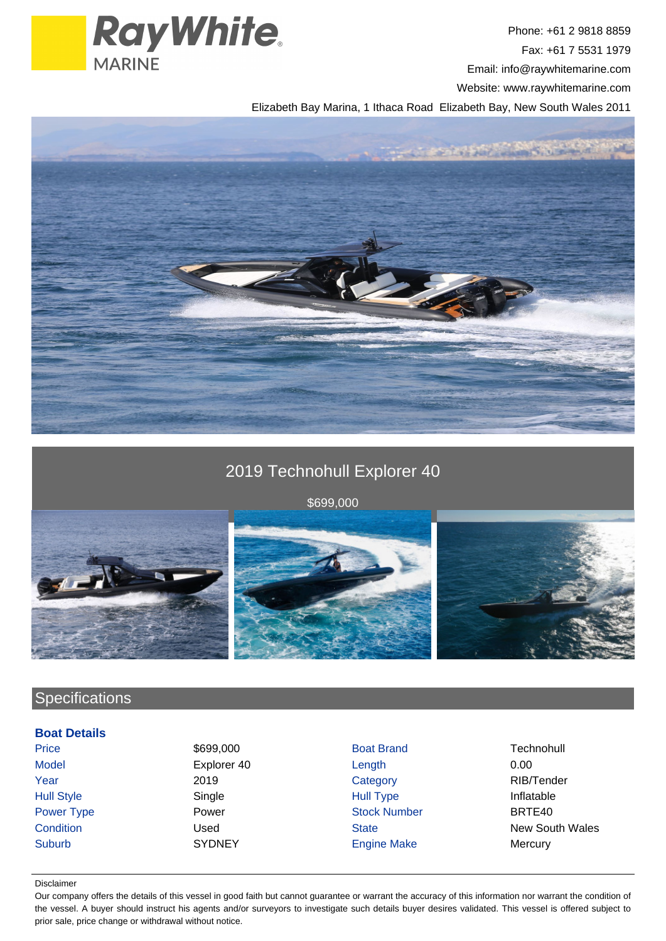

Phone: +61 2 9818 8859 Fax: +61 7 5531 1979 Email: info@raywhitemarine.com Website: www.raywhitemarine.com

Elizabeth Bay Marina, 1 Ithaca Road Elizabeth Bay, New South Wales 2011



# 2019 Technohull Explorer 40

\$699,000



## **Specifications**

## **Boat Details**

Price **1999,000 Boat Brand Technohull** Technohull Model **Explorer 40** Length 0.00 Year 2019 Category RIB/Tender Hull Style Single Source Hull Type Inflatable Inflatable Power Type **Power Power Stock Number** BRTE40 Suburb SYDNEY Engine Make Mercury

**Condition** Condition Used Used State State New South Wales

#### Disclaimer

Our company offers the details of this vessel in good faith but cannot guarantee or warrant the accuracy of this information nor warrant the condition of the vessel. A buyer should instruct his agents and/or surveyors to investigate such details buyer desires validated. This vessel is offered subject to prior sale, price change or withdrawal without notice.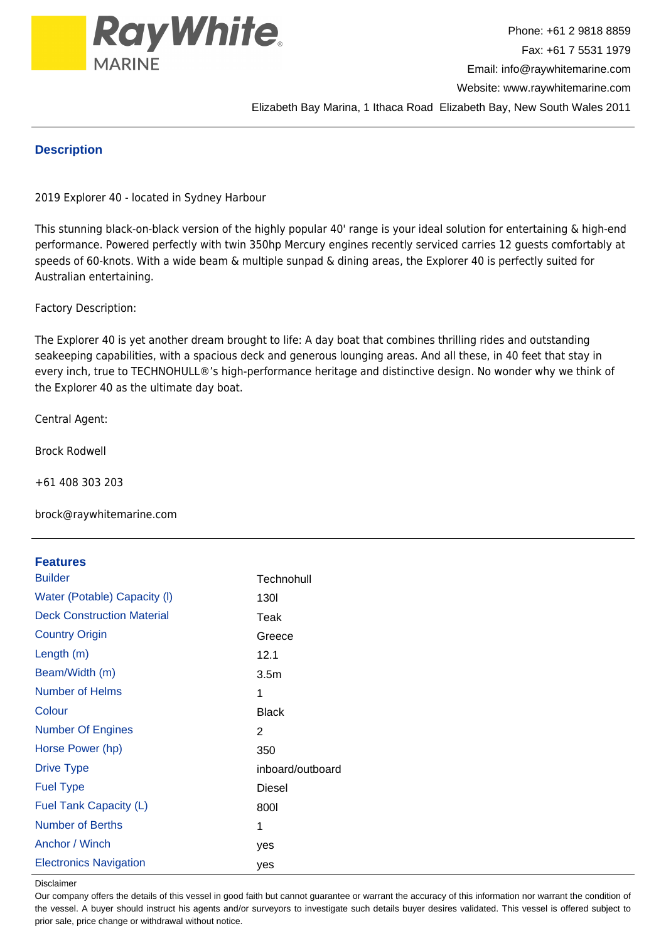

### **Description**

2019 Explorer 40 - located in Sydney Harbour

This stunning black-on-black version of the highly popular 40' range is your ideal solution for entertaining & high-end performance. Powered perfectly with twin 350hp Mercury engines recently serviced carries 12 guests comfortably at speeds of 60-knots. With a wide beam & multiple sunpad & dining areas, the Explorer 40 is perfectly suited for Australian entertaining.

Factory Description:

The Explorer 40 is yet another dream brought to life: A day boat that combines thrilling rides and outstanding seakeeping capabilities, with a spacious deck and generous lounging areas. And all these, in 40 feet that stay in every inch, true to TECHNOHULL®'s high-performance heritage and distinctive design. No wonder why we think of the Explorer 40 as the ultimate day boat.

Central Agent:

Brock Rodwell

+61 408 303 203

brock@raywhitemarine.com

### **Features**

| <b>Builder</b>                    | Technohull       |
|-----------------------------------|------------------|
| Water (Potable) Capacity (I)      | 130I             |
| <b>Deck Construction Material</b> | Teak             |
| <b>Country Origin</b>             | Greece           |
| Length (m)                        | 12.1             |
| Beam/Width (m)                    | 3.5 <sub>m</sub> |
| Number of Helms                   | 1                |
| Colour                            | <b>Black</b>     |
| <b>Number Of Engines</b>          | 2                |
| Horse Power (hp)                  | 350              |
| <b>Drive Type</b>                 | inboard/outboard |
| <b>Fuel Type</b>                  | Diesel           |
| Fuel Tank Capacity (L)            | 8001             |
| <b>Number of Berths</b>           | 1                |
| Anchor / Winch                    | yes              |
| <b>Electronics Navigation</b>     | yes              |

Disclaimer

Our company offers the details of this vessel in good faith but cannot guarantee or warrant the accuracy of this information nor warrant the condition of the vessel. A buyer should instruct his agents and/or surveyors to investigate such details buyer desires validated. This vessel is offered subject to prior sale, price change or withdrawal without notice.